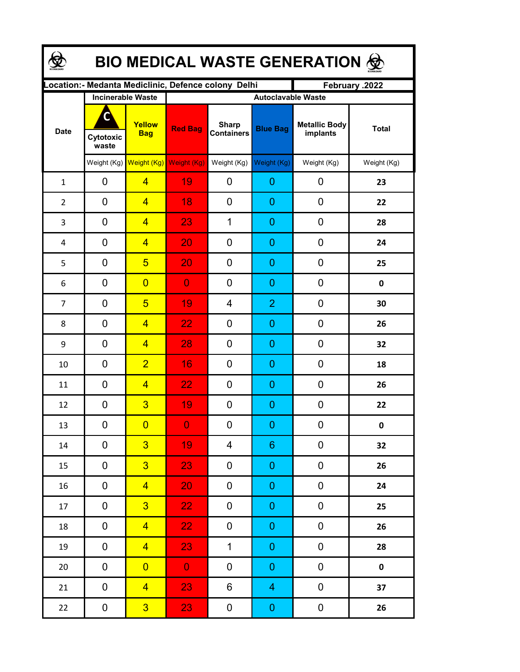| <b>BIO MEDICAL WASTE GENERATION 金</b> |                          |                                     |                                                      |                                   |                         |                                  |              |  |  |  |
|---------------------------------------|--------------------------|-------------------------------------|------------------------------------------------------|-----------------------------------|-------------------------|----------------------------------|--------------|--|--|--|
|                                       |                          |                                     | Location: - Medanta Mediclinic, Defence colony Delhi |                                   |                         | February .2022                   |              |  |  |  |
| <b>Date</b>                           | <b>Incinerable Waste</b> |                                     | <b>Autoclavable Waste</b>                            |                                   |                         |                                  |              |  |  |  |
|                                       | C<br>Cytotoxic<br>waste  | Yellow<br><b>Bag</b>                | <b>Red Bag</b>                                       | <b>Sharp</b><br><b>Containers</b> | <b>Blue Bag</b>         | <b>Metallic Body</b><br>implants | <b>Total</b> |  |  |  |
|                                       |                          | Weight (Kg) Weight (Kg) Weight (Kg) |                                                      | Weight (Kg)                       | Weight (Kg)             | Weight (Kg)                      | Weight (Kg)  |  |  |  |
| $\mathbf{1}$                          | 0                        | $\overline{4}$                      | 19                                                   | 0                                 | 0                       | 0                                | 23           |  |  |  |
| $\overline{2}$                        | 0                        | $\overline{4}$                      | 18                                                   | 0                                 | 0                       | 0                                | 22           |  |  |  |
| 3                                     | 0                        | $\overline{4}$                      | 23                                                   | $\mathbf 1$                       | 0                       | 0                                | 28           |  |  |  |
| 4                                     | 0                        | $\overline{4}$                      | 20                                                   | 0                                 | 0                       | 0                                | 24           |  |  |  |
| 5                                     | 0                        | $5\overline{)}$                     | 20                                                   | 0                                 | 0                       | 0                                | 25           |  |  |  |
| 6                                     | 0                        | $\overline{0}$                      | $\overline{0}$                                       | 0                                 | 0                       | 0                                | 0            |  |  |  |
| $\overline{7}$                        | 0                        | $5\overline{)}$                     | 19                                                   | 4                                 | $\overline{2}$          | 0                                | 30           |  |  |  |
| 8                                     | 0                        | $\overline{4}$                      | 22                                                   | 0                                 | 0                       | 0                                | 26           |  |  |  |
| 9                                     | 0                        | $\overline{4}$                      | 28                                                   | 0                                 | 0                       | 0                                | 32           |  |  |  |
| 10                                    | 0                        | $\overline{2}$                      | 16                                                   | 0                                 | 0                       | 0                                | 18           |  |  |  |
| 11                                    | 0                        | $\overline{4}$                      | 22                                                   | 0                                 | 0                       | 0                                | 26           |  |  |  |
| 12                                    | 0                        | $\overline{3}$                      | 19                                                   | 0                                 | 0                       | 0                                | 22           |  |  |  |
| 13                                    | 0                        | $\overline{\mathbf{0}}$             | $\overline{0}$                                       | $\boldsymbol{0}$                  | $\overline{0}$          | 0                                | $\mathbf 0$  |  |  |  |
| $14\,$                                | 0                        | $\overline{3}$                      | 19                                                   | 4                                 | 6                       | 0                                | 32           |  |  |  |
| 15                                    | 0                        | 3 <sup>2</sup>                      | 23                                                   | 0                                 | $\boldsymbol{0}$        | 0                                | 26           |  |  |  |
| 16                                    | 0                        | $\overline{4}$                      | 20                                                   | 0                                 | $\pmb{0}$               | $\boldsymbol{0}$                 | 24           |  |  |  |
| 17                                    | $\pmb{0}$                | 3 <sup>2</sup>                      | 22 <sub>1</sub>                                      | $\boldsymbol{0}$                  | $\pmb{0}$               | $\pmb{0}$                        | 25           |  |  |  |
| 18                                    | $\pmb{0}$                | $\overline{4}$                      | 22 <sub>1</sub>                                      | 0                                 | $\pmb{0}$               | $\pmb{0}$                        | 26           |  |  |  |
| 19                                    | $\pmb{0}$                | $\overline{4}$                      | 23                                                   | $\mathbf 1$                       | $\boldsymbol{0}$        | 0                                | 28           |  |  |  |
| $20\,$                                | $\pmb{0}$                | $\overline{0}$                      | $\mathbf{O}$                                         | 0                                 | $\boldsymbol{0}$        | 0                                | $\pmb{0}$    |  |  |  |
| 21                                    | $\pmb{0}$                | $\overline{4}$                      | 23                                                   | 6                                 | 4                       | 0                                | 37           |  |  |  |
| 22                                    | $\mathbf 0$              | 3 <sup>°</sup>                      | 23                                                   | $\boldsymbol{0}$                  | $\overline{\mathbf{0}}$ | $\boldsymbol{0}$                 | 26           |  |  |  |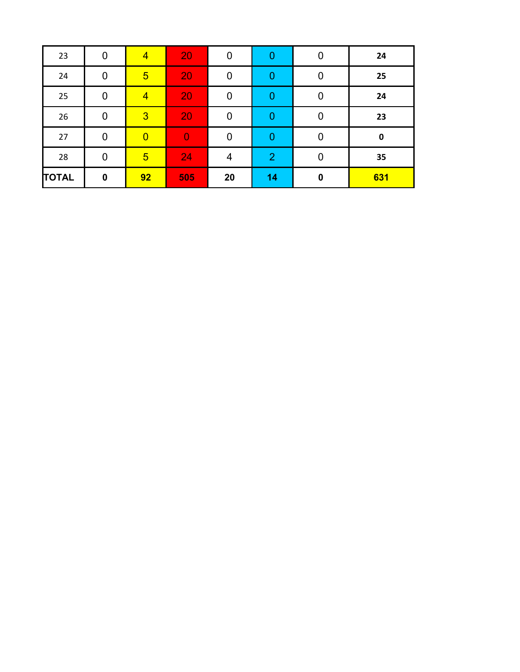| 23           | 0              | $\overline{4}$  | 20             | $\overline{0}$ | 0              | $\overline{0}$   | 24        |
|--------------|----------------|-----------------|----------------|----------------|----------------|------------------|-----------|
| 24           | $\overline{0}$ | $5\overline{)}$ | 20             | $\overline{0}$ | $\mathbf 0$    | 0                | 25        |
| 25           | $\mathbf 0$    | $\overline{4}$  | 20             | $\overline{0}$ | 0              | 0                | 24        |
| 26           | $\overline{0}$ | $\overline{3}$  | 20             | $\overline{0}$ | 0              | $\overline{0}$   | 23        |
| 27           | $\overline{0}$ | $\overline{0}$  | $\overline{0}$ | $\pmb{0}$      | $\mathbf 0$    | 0                | $\pmb{0}$ |
| 28           | $\mathbf 0$    | $5\overline{)}$ | 24             | 4              | $\overline{2}$ | 0                | 35        |
| <b>TOTAL</b> | $\pmb{0}$      | 92              | 505            | 20             | 14             | $\boldsymbol{0}$ | 631       |